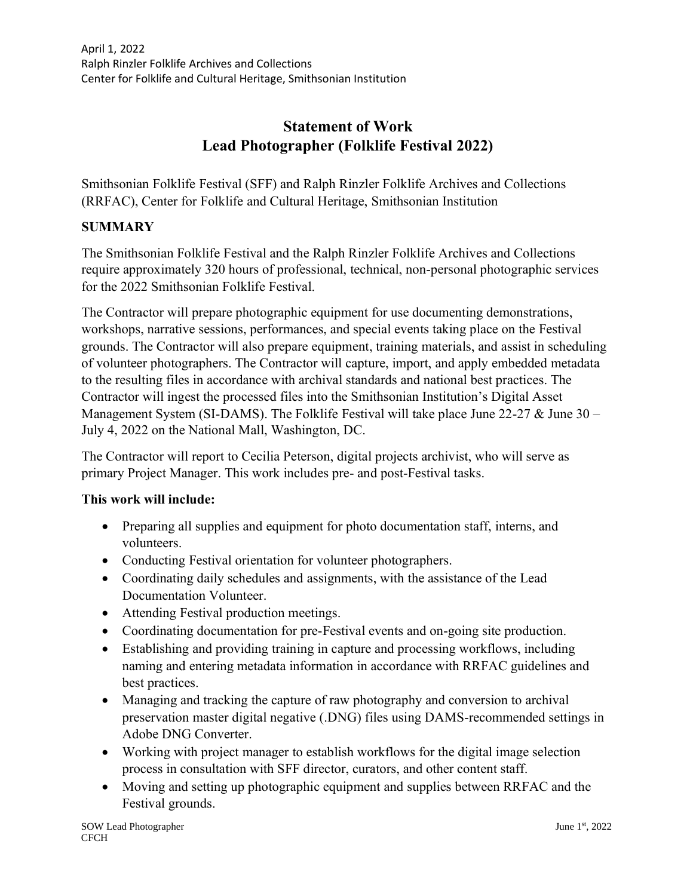# **Statement of Work Lead Photographer (Folklife Festival 2022)**

Smithsonian Folklife Festival (SFF) and Ralph Rinzler Folklife Archives and Collections (RRFAC), Center for Folklife and Cultural Heritage, Smithsonian Institution

### **SUMMARY**

The Smithsonian Folklife Festival and the Ralph Rinzler Folklife Archives and Collections require approximately 320 hours of professional, technical, non-personal photographic services for the 2022 Smithsonian Folklife Festival.

The Contractor will prepare photographic equipment for use documenting demonstrations, workshops, narrative sessions, performances, and special events taking place on the Festival grounds. The Contractor will also prepare equipment, training materials, and assist in scheduling of volunteer photographers. The Contractor will capture, import, and apply embedded metadata to the resulting files in accordance with archival standards and national best practices. The Contractor will ingest the processed files into the Smithsonian Institution's Digital Asset Management System (SI-DAMS). The Folklife Festival will take place June 22-27 & June 30 – July 4, 2022 on the National Mall, Washington, DC.

The Contractor will report to Cecilia Peterson, digital projects archivist, who will serve as primary Project Manager. This work includes pre- and post-Festival tasks.

#### **This work will include:**

- Preparing all supplies and equipment for photo documentation staff, interns, and volunteers.
- Conducting Festival orientation for volunteer photographers.
- Coordinating daily schedules and assignments, with the assistance of the Lead Documentation Volunteer.
- Attending Festival production meetings.
- Coordinating documentation for pre-Festival events and on-going site production.
- Establishing and providing training in capture and processing workflows, including naming and entering metadata information in accordance with RRFAC guidelines and best practices.
- Managing and tracking the capture of raw photography and conversion to archival preservation master digital negative (.DNG) files using DAMS-recommended settings in Adobe DNG Converter.
- Working with project manager to establish workflows for the digital image selection process in consultation with SFF director, curators, and other content staff.
- Moving and setting up photographic equipment and supplies between RRFAC and the Festival grounds.